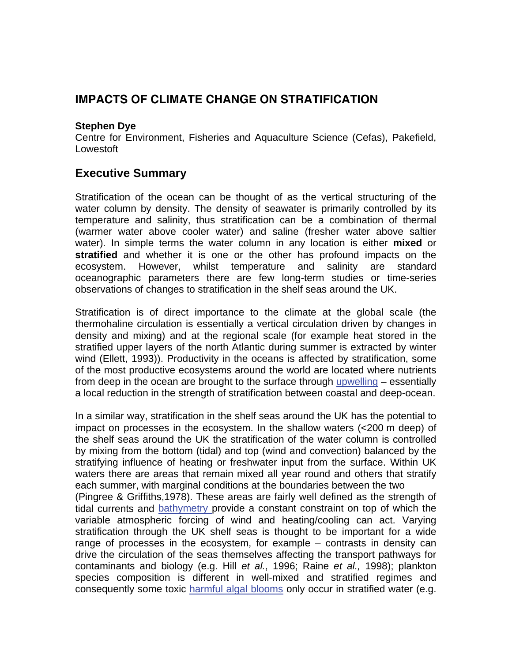## **IMPACTS OF CLIMATE CHANGE ON STRATIFICATION**

#### **Stephen Dye**

Centre for Environment, Fisheries and Aquaculture Science (Cefas), Pakefield, Lowestoft

## **Executive Summary**

Stratification of the ocean can be thought of as the vertical structuring of the water column by density. The density of seawater is primarily controlled by its temperature and salinity, thus stratification can be a combination of thermal (warmer water above cooler water) and saline (fresher water above saltier water). In simple terms the water column in any location is either **mixed** or **stratified** and whether it is one or the other has profound impacts on the ecosystem. However, whilst temperature and salinity are standard oceanographic parameters there are few long-term studies or time-series observations of changes to stratification in the shelf seas around the UK.

Stratification is of direct importance to the climate at the global scale (the thermohaline circulation is essentially a vertical circulation driven by changes in density and mixing) and at t[he regional scale \(for](http://www.mccip.org.uk/arc/glossary.htm) example heat stored in the stratified upper layers of the north Atlantic during summer is extracted by winter wind (Ellett, 1993)). Productivity in the oceans is affected by stratification, some of the most productive ecosystems around the world are located where nutrients from deep in the ocean are brought to the surface through [upwelling](http://www.mccip.org.uk/arc/glossary.htm) – essentially a local reduction in the strength of stratification between coastal and deep-ocean.

In a similar way, stratification in the shelf seas around the UK has the potential to impact on processes in the ecosystem. In the shallow waters (<200 m deep) of the shelf seas around the UK the stratification of the water column is controlled by mixing from the bottom (tidal) and top (wind and convection) balanced by the stratifying influence of heating or freshwater input from the surface. Within UK waters there are areas that remain mixed all year round and others that stratify each summer, with marginal conditions at the boundaries between the two (Pingree & Griffiths,1978). These areas are fairly well defined as the strength of tidal currents and [bathymetry p](http://www.mccip.org.uk/arc/glossary.htm)rovide a constant constraint on top of which the variable atmospheric forcing of wind and heating/cooling can act. Varying stratification through the UK shelf seas is thought to be important for a wide range of processes in the ecosystem, for example – contrasts in density can drive the circulation of the seas themselves affecting the transport pathways for contaminants and biology (e.g. Hill *et al.*, 1996; Raine *et al.,* 1998); plankton species composition is different in well-mixed and stratified regimes and consequently some toxic [harmful algal blooms](http://www.mccip.org.uk/arc/glossary.htm) only occur in stratified water (e.g.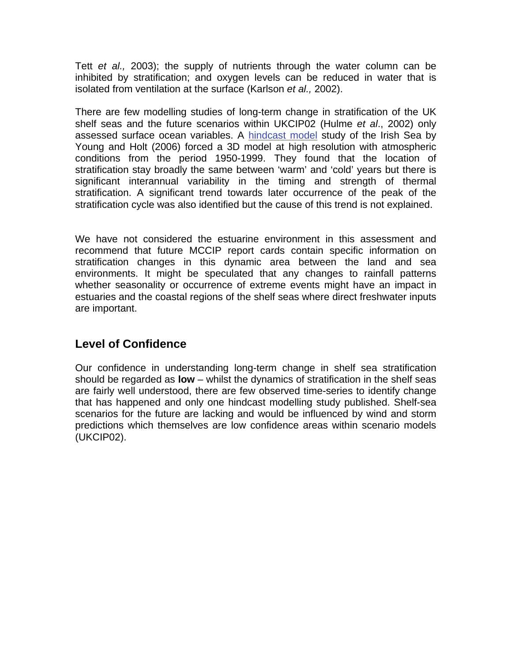Tett *et al.,* 2003); the supply of nutrients through the water column can be inhibited by stratification; and oxygen levels can be reduced in water that is isolated from ventilation at the surface (Karlson *et al.,* 2002).

There are few modelling studies of long-term change in stratification of the UK shelf seas and the future scenarios within UKCIP02 (Hulme *et al*., 2002) only assessed surface ocean variables. A [hindcast model](http://www.mccip.org.uk/arc/glossary.htm) study of the Irish Sea by Young and Holt (2006) forced a 3D model at high resolution with atmospheric conditions from the period 1950-1999. They found that the location of stratification stay broadly the same between 'warm' and 'cold' years but there is significant interannual variability in the timing and strength of thermal stratification. A significant trend towards later occurrence of the peak of the stratification cycle was also identified but the cause of this trend is not explained.

We have not considered the estuarine environment in this assessment and recommend that future MCCIP report cards contain specific information on stratification changes in this dynamic area between the land and sea environments. It might be speculated that any changes to rainfall patterns whether seasonality or occurrence of extreme events might have an impact in estuaries and the coastal regions of the shelf seas where direct freshwater inputs are important.

# **Level of Confidence**

Our confidence in understanding long-term change in shelf sea stratification should be regarded as **low** – whilst the dynamics of stratification in the shelf seas are fairly well understood, there are few observed time-series to identify change that has happened and only one hindcast modelling study published. Shelf-sea scenarios for the future are lacking and would be influenced by wind and storm predictions which themselves are low confidence areas within scenario models (UKCIP02).